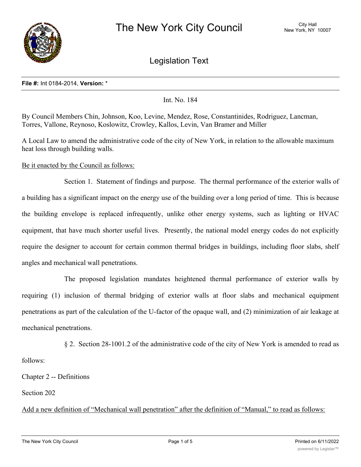

Legislation Text

#### **File #:** Int 0184-2014, **Version:** \*

Int. No. 184

By Council Members Chin, Johnson, Koo, Levine, Mendez, Rose, Constantinides, Rodriguez, Lancman, Torres, Vallone, Reynoso, Koslowitz, Crowley, Kallos, Levin, Van Bramer and Miller

A Local Law to amend the administrative code of the city of New York, in relation to the allowable maximum heat loss through building walls.

Be it enacted by the Council as follows:

Section 1. Statement of findings and purpose. The thermal performance of the exterior walls of a building has a significant impact on the energy use of the building over a long period of time. This is because the building envelope is replaced infrequently, unlike other energy systems, such as lighting or HVAC equipment, that have much shorter useful lives. Presently, the national model energy codes do not explicitly require the designer to account for certain common thermal bridges in buildings, including floor slabs, shelf angles and mechanical wall penetrations.

The proposed legislation mandates heightened thermal performance of exterior walls by requiring (1) inclusion of thermal bridging of exterior walls at floor slabs and mechanical equipment penetrations as part of the calculation of the U-factor of the opaque wall, and (2) minimization of air leakage at mechanical penetrations.

§ 2. Section 28-1001.2 of the administrative code of the city of New York is amended to read as

follows:

Chapter 2 -- Definitions

Section 202

Add a new definition of "Mechanical wall penetration" after the definition of "Manual," to read as follows: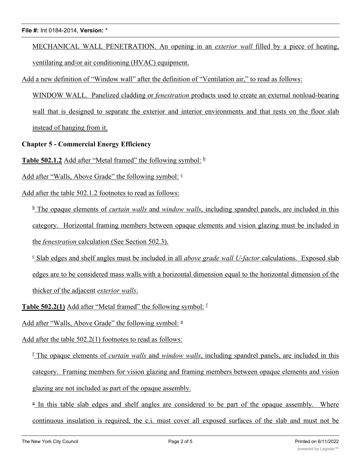### **File #:** Int 0184-2014, **Version:** \*

MECHANICAL WALL PENETRATION. An opening in an *exterior wall* filled by a piece of heating, ventilating and/or air conditioning (HVAC) equipment.

Add a new definition of "Window wall" after the definition of "Ventilation air," to read as follows:

WINDOW WALL. Panelized cladding or *fenestration* products used to create an external nonload-bearing wall that is designed to separate the exterior and interior environments and that rests on the floor slab instead of hanging from it.

**Chapter 5 - Commercial Energy Efficiency**

**Table 502.1.2** Add after "Metal framed" the following symbol:  $\frac{b}{2}$ 

Add after "Walls, Above Grade" the following symbol:  $\epsilon$ 

Add after the table 502.1.2 footnotes to read as follows:

<sup>b</sup> The opaque elements of *curtain walls* and *window walls*, including spandrel panels, are included in this category. Horizontal framing members between opaque elements and vision glazing must be included in the *fenestration* calculation (See Section 502.3).

<sup>c</sup> Slab edges and shelf angles must be included in all *above grade wall U-factor* calculations. Exposed slab edges are to be considered mass walls with a horizontal dimension equal to the horizontal dimension of the thicker of the adjacent *exterior walls*.

**Table 502.2(1)** Add after "Metal framed" the following symbol: <sup>f</sup>

Add after "Walls, Above Grade" the following symbol:  $g$ 

Add after the table 502.2(1) footnotes to read as follows:

<sup>f</sup> The opaque elements of *curtain walls* and *window walls*, including spandrel panels, are included in this category. Framing members for vision glazing and framing members between opaque elements and vision glazing are not included as part of the opaque assembly.

<sup>g</sup> In this table slab edges and shelf angles are considered to be part of the opaque assembly. Where continuous insulation is required, the c.i. must cover all exposed surfaces of the slab and must not be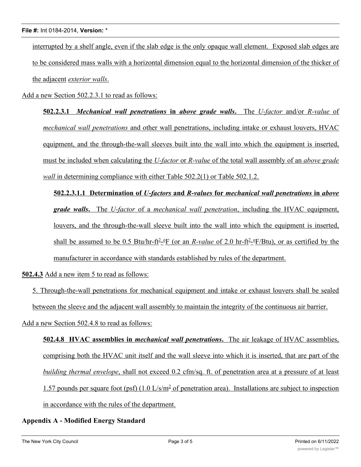interrupted by a shelf angle, even if the slab edge is the only opaque wall element. Exposed slab edges are to be considered mass walls with a horizontal dimension equal to the horizontal dimension of the thicker of the adjacent *exterior walls*.

Add a new Section 502.2.3.1 to read as follows:

**502.2.3.1** *Mechanical wall penetrations* **in** *above grade walls***.** The *U-factor* and/or *R-value* of *mechanical wall penetrations* and other wall penetrations, including intake or exhaust louvers, HVAC equipment, and the through-the-wall sleeves built into the wall into which the equipment is inserted, must be included when calculating the *U-factor* or *R-value* of the total wall assembly of an *above grade wall* in determining compliance with either Table 502.2(1) or Table 502.1.2.

**502.2.3.1.1 Determination of** *U-factors* **and** *R-values* **for** *mechanical wall penetrations* **in** *above grade walls***.** The *U-factor* of a *mechanical wall penetration*, including the HVAC equipment, louvers, and the through-the-wall sleeve built into the wall into which the equipment is inserted, shall be assumed to be 0.5 Btu/hr-ft<sup>2</sup>-<sup>o</sup>F (or an *R-value* of 2.0 hr-ft<sup>2</sup>-<sup>o</sup>F/Btu), or as certified by the manufacturer in accordance with standards established by rules of the department.

**502.4.3** Add a new item 5 to read as follows:

5. Through-the-wall penetrations for mechanical equipment and intake or exhaust louvers shall be sealed between the sleeve and the adjacent wall assembly to maintain the integrity of the continuous air barrier.

Add a new Section 502.4.8 to read as follows:

**502.4.8 HVAC assemblies in** *mechanical wall penetrations***.** The air leakage of HVAC assemblies, comprising both the HVAC unit itself and the wall sleeve into which it is inserted, that are part of the *building thermal envelope*, shall not exceed 0.2 cfm/sq. ft. of penetration area at a pressure of at least 1.57 pounds per square foot (psf)  $(1.0 \text{ L/s/m}^2 \text{ of penetration area})$ . Installations are subject to inspection in accordance with the rules of the department.

# **Appendix A - Modified Energy Standard**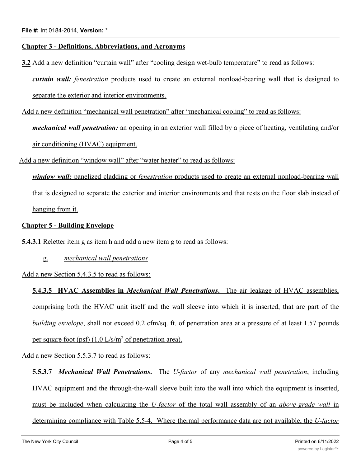# **Chapter 3 - Definitions, Abbreviations, and Acronyms**

**3.2** Add a new definition "curtain wall" after "cooling design wet-bulb temperature" to read as follows:

*curtain wall: fenestration* products used to create an external nonload-bearing wall that is designed to separate the exterior and interior environments.

Add a new definition "mechanical wall penetration" after "mechanical cooling" to read as follows:

*mechanical wall penetration:* an opening in an exterior wall filled by a piece of heating, ventilating and/or air conditioning (HVAC) equipment.

Add a new definition "window wall" after "water heater" to read as follows:

*window wall:* panelized cladding or *fenestration* products used to create an external nonload-bearing wall that is designed to separate the exterior and interior environments and that rests on the floor slab instead of hanging from it.

# **Chapter 5 - Building Envelope**

**5.4.3.1** Reletter item g as item h and add a new item g to read as follows:

g. *mechanical wall penetrations*

Add a new Section 5.4.3.5 to read as follows:

**5.4.3.5 HVAC Assemblies in** *Mechanical Wall Penetrations***.** The air leakage of HVAC assemblies, comprising both the HVAC unit itself and the wall sleeve into which it is inserted, that are part of the *building envelope*, shall not exceed 0.2 cfm/sq. ft. of penetration area at a pressure of at least 1.57 pounds per square foot (psf) (1.0 L/s/m<sup>2</sup> of penetration area).

Add a new Section 5.5.3.7 to read as follows:

**5.5.3.7** *Mechanical Wall Penetrations***.** The *U-factor* of any *mechanical wall penetration*, including HVAC equipment and the through-the-wall sleeve built into the wall into which the equipment is inserted, must be included when calculating the *U-factor* of the total wall assembly of an *above-grade wall* in determining compliance with Table 5.5-4. Where thermal performance data are not available, the *U-factor*